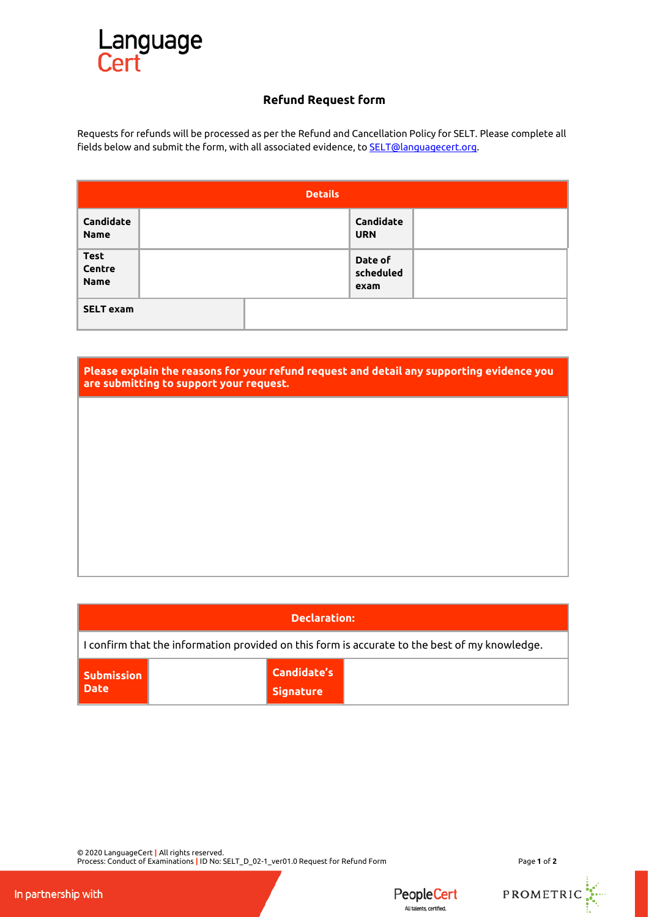

## **Refund Request form**

Requests for refunds will be processed as per the Refund and Cancellation Policy for SELT. Please complete all fields below and submit the form, with all associated evidence, to **SELT@languagecert.org**.

| <b>Details</b>                       |  |  |                              |  |  |  |
|--------------------------------------|--|--|------------------------------|--|--|--|
| Candidate<br><b>Name</b>             |  |  | Candidate<br><b>URN</b>      |  |  |  |
| <b>Test</b><br>Centre<br><b>Name</b> |  |  | Date of<br>scheduled<br>exam |  |  |  |
| <b>SELT exam</b>                     |  |  |                              |  |  |  |

| Please explain the reasons for your refund request and detail any supporting evidence you<br>are submitting to support your request. |  |  |  |  |  |
|--------------------------------------------------------------------------------------------------------------------------------------|--|--|--|--|--|
|                                                                                                                                      |  |  |  |  |  |
|                                                                                                                                      |  |  |  |  |  |
|                                                                                                                                      |  |  |  |  |  |
|                                                                                                                                      |  |  |  |  |  |
|                                                                                                                                      |  |  |  |  |  |

| <b>Declaration:</b>                                                                           |  |                                        |  |  |  |  |
|-----------------------------------------------------------------------------------------------|--|----------------------------------------|--|--|--|--|
| I confirm that the information provided on this form is accurate to the best of my knowledge. |  |                                        |  |  |  |  |
| Submission<br>Date                                                                            |  | <b>Candidate's</b><br><b>Signature</b> |  |  |  |  |

© 2020 LanguageCert **|** All rights reserved. Process: Conduct of Examinations **|** ID No: SELT\_D\_02-1\_ver01.0 Request for Refund Form Page **1** of **2**

PROMETRIC